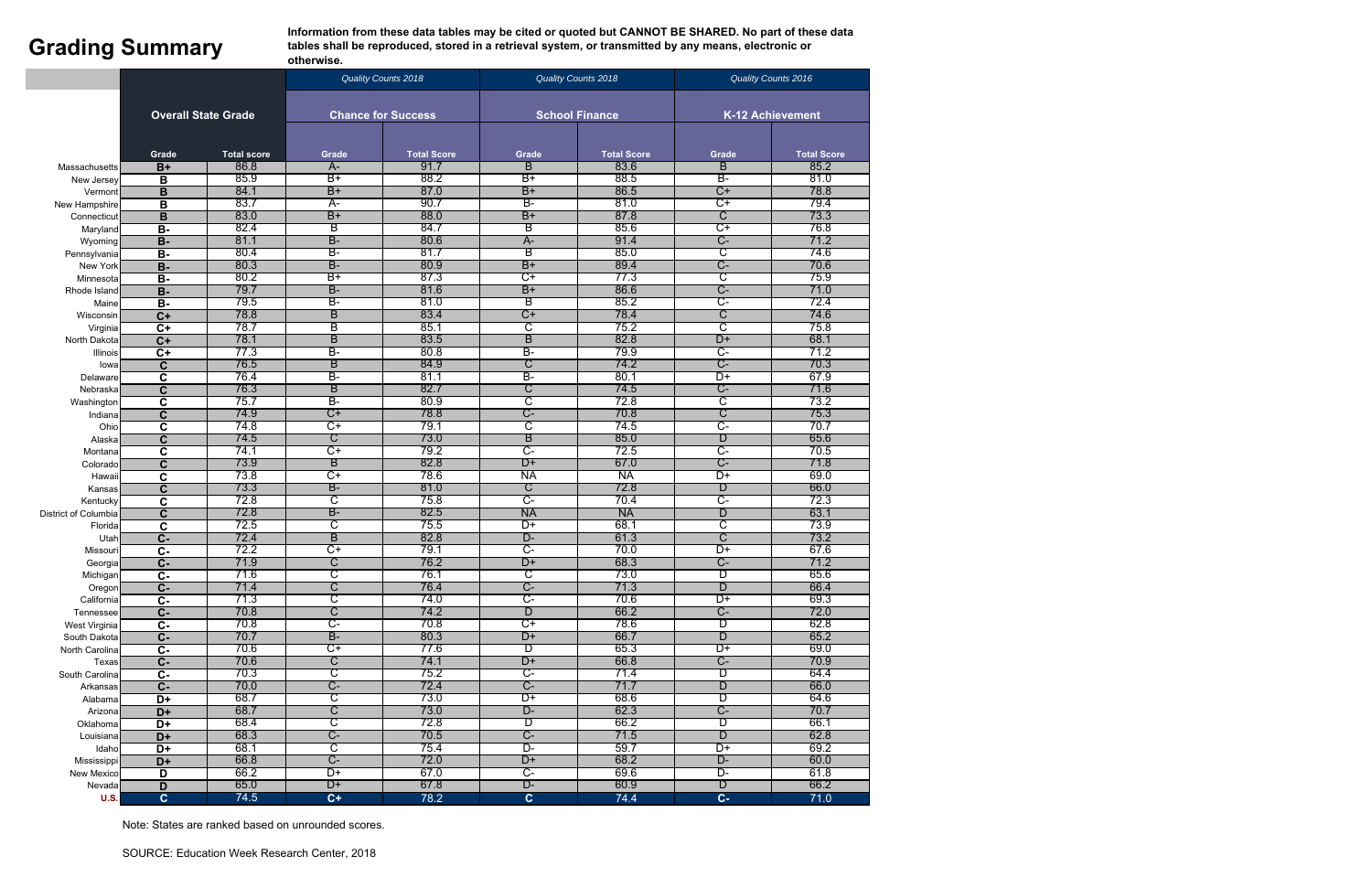**Information from these data tables may be cited or quoted but CANNOT BE SHARED. No part of these data Grading Summary tables shall be reproduced, stored in a retrieval system, or transmitted by any means, electronic or otherwise**. otherwise.

|                      | <b>Overall State Grade</b>         |                    | <b>Quality Counts 2018</b>   |                    |                  | <b>Quality Counts 2018</b> | Quality Counts 2016     |                    |  |
|----------------------|------------------------------------|--------------------|------------------------------|--------------------|------------------|----------------------------|-------------------------|--------------------|--|
|                      |                                    |                    |                              |                    |                  |                            |                         |                    |  |
|                      |                                    |                    | <b>Chance for Success</b>    |                    |                  | <b>School Finance</b>      | <b>K-12 Achievement</b> |                    |  |
|                      | Grade                              | <b>Total score</b> | Grade                        | <b>Total Score</b> | Grade            | <b>Total Score</b>         | Grade                   | <b>Total Score</b> |  |
| Massachusetts        | $B+$                               | 86.8               | $A-$                         | 91.7               | B                | 83.6                       | В                       | 85.2               |  |
| New Jersey           | В                                  | 85.9               | $B+$                         | 88.2               | $B+$             | 88.5                       | B-                      | 81.0               |  |
| Vermont              | B                                  | 84.1               | $B+$                         | 87.0               | $B+$             | 86.5                       | $C+$                    | 78.8               |  |
| New Hampshire        | B                                  | 83.7               | $A-$                         | 90.7               | B-               | 81.0                       | ਾ                       | 79.4               |  |
| Connecticut          | в                                  | 83.0               | $B+$                         | 88.0               | $B+$             | 87.8                       | $\overline{\text{C}}$   | 73.3               |  |
| Maryland             | $\overline{B}$                     | 82.4               | В                            | 84.7               | В                | 85.6                       | ᢗ᠇                      | 76.8               |  |
| Wyoming              | $\overline{B}$                     | 81.1               | <b>B-</b>                    | 80.6               | $A -$            | 91.4                       | C-                      | 71.2               |  |
| Pennsylvania         | $B -$                              | 80.4               | B-                           | 81.7               | В                | 85.0                       | င                       | 74.6               |  |
| New York             | $B -$                              | 80.3               | <b>B-</b>                    | 80.9               | $B+$             | 89.4                       | C-                      | 70.6               |  |
| Minnesota            | $\overline{B}$                     | 80.2               | $B+$                         | 87.3               | $\overline{C+}$  | 77.3                       | C                       | 75.9               |  |
| Rhode Island         | $B -$                              | 79.7               | B-                           | 81.6               | $B+$             | 86.6                       | C-                      | 71.0               |  |
| Maine                | $B -$                              | 79.5               | B-                           | 81.0               | В                | 85.2                       | <del>.</del>            | 72.4               |  |
| Wisconsin            | $\overline{C+}$                    | 78.8               | B                            | 83.4               | C+               | 78.4                       | C                       | 74.6               |  |
| Virginia             | $\overline{C+}$                    | 78.7               | В                            | 85.1               | ਟ                | 75.2                       | ਟ                       | 75.8               |  |
| North Dakota         | $\overline{C+}$                    | 78.1               | B                            | 83.5               | B                | 82.8                       | D+                      | 68.1               |  |
| Illinois             | $\overline{C+}$                    | 77.3               | B-                           | 80.8               | B-               | 79.9                       | $C-$                    | 71.2               |  |
| lowa                 | $\mathbf{C}$                       | 76.5               | B                            | 84.9               | C                | 74.2                       | $C-$                    | 70.3               |  |
| Delaware             | $\mathbf c$                        | 76.4               | $\overline{\mathsf{B}^-}$    | 81.1               | B-               | 80.1                       | D+                      | 67.9               |  |
| Nebraska             | $\overline{\mathbf{c}}$            | 76.3               | B                            | 82.7               | C                | 74.5                       | $C-$                    | 71.6               |  |
| Washington           | $\overline{\mathbf{c}}$            | 75.7               | B-                           | 80.9               | င                | 72.8                       | C                       | 73.2               |  |
| Indiana              | $\overline{\mathbf{c}}$            | 74.9               | C+                           | 78.8               | C-               | 70.8                       | C                       | 75.3               |  |
| Ohio                 | $\overline{\mathbf{c}}$            | 74.8               | C+                           | 79.1               | C                | 74.5                       | C-                      | 70.7               |  |
| Alaska               | $\mathbf c$                        | 74.5               | C                            | 73.0               | B                | 85.0                       | D                       | 65.6               |  |
| Montana              | $\mathbf c$                        | 74.1               | $\overline{C+}$              | 79.2               | <u>ਾ</u>         | 72.5                       | ᠸ-                      | 70.5               |  |
| Colorado             | $\overline{c}$                     | 73.9               | $\overline{B}$               | 82.8               | D+               | 67.0                       | $C-$                    | 71.8               |  |
| Hawaii               | $\mathbf c$                        | 73.8               | $\overline{C+}$              | 78.6               | <b>NA</b>        | <b>NA</b>                  | $\overline{D+}$         | 69.0               |  |
| Kansas               | $\overline{c}$                     | 73.3               | $B -$                        | 81.0               | C                | 72.8                       | D                       | 66.0               |  |
| Kentucky             | $\mathbf c$                        | 72.8               | ਟ                            | 75.8               | <del>.</del>     | 70.4                       | <del>.</del>            | 72.3               |  |
| District of Columbia | $\mathbf{C}$                       | 72.8               | B-                           | 82.5               | <b>NA</b>        | <b>NA</b>                  | D                       | 63.1               |  |
| Florida              | $\mathbf c$                        | 72.5               | ਟ                            | 75.5               | D+               | 68.1                       | ਟ                       | 73.9               |  |
| Utar                 | $\overline{C}$                     | 72.4               | B                            | 82.8               | D-               | 61.3                       | C                       | 73.2               |  |
| Missouri             | $\overline{c}$                     | 72.2               | $C+$                         | 79.1               | <u>ਾ</u>         | 70.0                       | $\overline{D+}$         | 67.6               |  |
| Georgia              | $\overline{C}$ -                   | 71.9               | С                            | 76.2               | D+               | 68.3                       | C-                      | 71.2               |  |
| Michigan             | $C -$                              | 71.6               | C                            | 76.1               | C                | 73.0                       | D                       | 65.6               |  |
| Oregon               | $\overline{C}$                     | 71.4               | С                            | 76.4               | $C-$             | 71.3                       | D                       | 66.4               |  |
| California           | $\overline{c}$                     | 71.3               | C                            | 74.0               |                  | 70.6                       | D+                      | 69.3               |  |
| Tennessee            | $\overline{C}$                     | 70.8               | $\overline{C}$               | 74.2               | $\overline{D}$   | 66.2                       | $C-$                    | 72.0               |  |
| West Virginia        | $\overline{c}$                     | 70.8               | $\overline{\mathbb{C}}$ -    | 70.8               | $\overline{C+}$  | 78.6                       | D                       | 62.8               |  |
| South Dakota         | $\overline{C}$ -                   | 70.7<br>70.6       | <b>B-</b><br>$\overline{C+}$ | 80.3               | D+               | 66.7                       | D                       | 65.2<br>69.0       |  |
| North Carolina       | $\overline{c}$                     | 70.6               |                              | 77.6               | D<br>D+          | 65.3                       | D+<br>$C-$              | 70.9               |  |
| Texas                | $C -$                              | 70.3               | C                            | 74.1<br>75.2       |                  | 66.8                       | D                       | 64.4               |  |
| South Carolina       | $\overline{c}$                     | 70.0               | C<br>C-                      | 72.4               | $C-$             | 71.4                       | D                       | 66.0               |  |
| Arkansas             | $\overline{C}$                     | 68.7               | ਟ                            | 73.0               | $\overline{D+}$  | 71.7<br>68.6               | D                       | 64.6               |  |
| Alabama              | $\overline{D+}$<br>$\overline{D+}$ | 68.7               | ट                            | 73.0               | D-               | 62.3                       | $C-$                    | 70.7               |  |
| Arizona<br>Oklahoma  | $\overline{D+}$                    | 68.4               | C                            | 72.8               | D                | 66.2                       | D                       | 66.1               |  |
| Louisiana            | $\overline{D+}$                    | 68.3               | <u>C-</u>                    | 70.5               | $C-$             | 71.5                       | D                       | 62.8               |  |
| Idaho                | $\overline{D+}$                    | 68.1               | C                            | 75.4               | D-               | 59.7                       | $\overline{D+}$         | 69.2               |  |
| Mississippi          | $D+$                               | 66.8               | C-                           | 72.0               | D+               | 68.2                       | D-                      | 60.0               |  |
| New Mexico           | D                                  | 66.2               | $\overline{D+}$              | 67.0               | $\overline{C}$ - | 69.6                       | $\overline{D}$ -        | 61.8               |  |
| Nevada               | $\overline{D}$                     | 65.0               | D+                           | 67.8               | D-               | 60.9                       | D                       | 66.2               |  |
| <b>U.S.</b>          | $\mathbf{c}$                       | 74.5               | $C+$                         | 78.2               | $\overline{c}$   | 74.4                       | $C -$                   | 71.0               |  |
|                      |                                    |                    |                              |                    |                  |                            |                         |                    |  |

Note: States are ranked based on unrounded scores.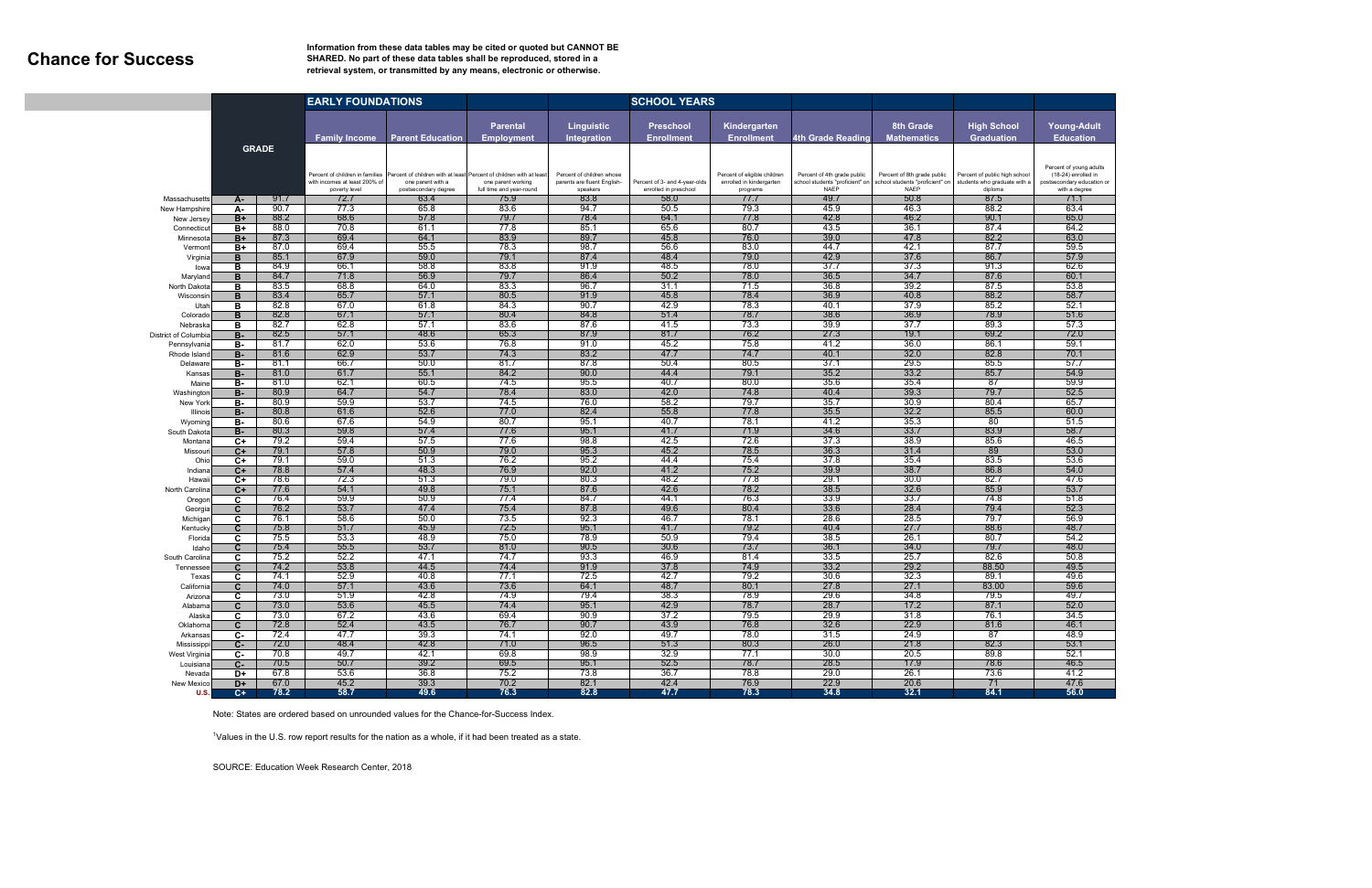## **Chance for Success**

### **Information from these data tables may be cited or quoted but CANNOT BE SHARED. No part of these data tables shall be reproduced, stored in a retrieval system, or transmitted by any means, electronic or otherwise.**

|                             |                 | <b>EARLY FOUNDATIONS</b> |                                                                                   |                                                                                                                  |                                                | <b>SCHOOL YEARS</b>                                                  |                                                        |                                                                      |                                                                               |                                                                               |                                                                          |                                                                                               |
|-----------------------------|-----------------|--------------------------|-----------------------------------------------------------------------------------|------------------------------------------------------------------------------------------------------------------|------------------------------------------------|----------------------------------------------------------------------|--------------------------------------------------------|----------------------------------------------------------------------|-------------------------------------------------------------------------------|-------------------------------------------------------------------------------|--------------------------------------------------------------------------|-----------------------------------------------------------------------------------------------|
|                             |                 |                          | <b>Family Income</b>                                                              | <b>Parent Education</b>                                                                                          | <b>Parental</b><br><b>Employment</b>           | <b>Linguistic</b><br>Integration                                     | <b>Preschool</b><br><b>Enrollment</b>                  | Kindergarten<br><b>Enrollment</b>                                    | <b>4th Grade Reading</b>                                                      | 8th Grade<br>Mathematics                                                      | <b>High School</b><br><b>Graduation</b>                                  | <b>Young-Adult</b><br><b>Education</b>                                                        |
| <b>GRADE</b>                |                 |                          | Percent of children in families<br>with incomes at least 200% of<br>poverty level | Percent of children with at least Percent of children with at least<br>one parent with a<br>postsecondary degree | one parent working<br>full time and year-round | Percent of children whose<br>parents are fluent English-<br>speakers | Percent of 3- and 4-year-olds<br>enrolled in preschool | Percent of eligible children<br>enrolled in kindergarten<br>programs | Percent of 4th grade public<br>school students "proficient" on<br><b>NAEP</b> | Percent of 8th grade public<br>school students "proficient" or<br><b>NAEP</b> | Percent of public high school<br>students who graduate with a<br>diploma | Percent of young adults<br>(18-24) enrolled in<br>postsecondary education or<br>with a degree |
| Massachusetts               | А-              | 91.7                     | 72.7                                                                              | 63.4                                                                                                             | 75.9                                           | 83.8                                                                 | 58.0                                                   | 77.7                                                                 | 49.7                                                                          | 50.8                                                                          | 87.5                                                                     | 71.1                                                                                          |
| New Hampshire               | А-              | 90.7                     | 77.3                                                                              | 65.8                                                                                                             | 83.6                                           | 94.7                                                                 | 50.5                                                   | 79.3                                                                 | 45.9                                                                          | 46.3                                                                          | 88.2                                                                     | 63.4                                                                                          |
| New Jersey                  | $B+$            | 88.2                     | 68.6                                                                              | 57.8                                                                                                             | 79.7                                           | 78.4                                                                 | 64.1                                                   | 77.8                                                                 | 42.8                                                                          | 46.2                                                                          | 90.1                                                                     | 65.0                                                                                          |
| Connecticu                  | B+              | 88.0                     | 70.8<br>69.4                                                                      | 61.1                                                                                                             | 77.8<br>83.9                                   | 85.1                                                                 | 65.6                                                   | 80.7                                                                 | 43.5                                                                          | 36.1                                                                          | 87.4                                                                     | 64.2                                                                                          |
| Minnesota<br>Vermon         | B+<br>B+        | 87.3<br>87.0             | 69.4                                                                              | 64.1<br>55.5                                                                                                     | 78.3                                           | 89.7<br>98.7                                                         | 45.8<br>56.6                                           | 76.0<br>83.0                                                         | 39.0<br>44.7                                                                  | 47.8<br>42.1                                                                  | 82.2<br>87.7                                                             | 63.0<br>59.5                                                                                  |
| Virginia                    | в               | 85.1                     | 67.9                                                                              | 59.0                                                                                                             | 79.1                                           | 87.4                                                                 | 48.4                                                   | 79.0                                                                 | 42.9                                                                          | 37.6                                                                          | 86.7                                                                     | 57.9                                                                                          |
| lowa                        | в               | 84.9                     | 66.7                                                                              | 58.8                                                                                                             | 83.8                                           | 91.9                                                                 | 48.5                                                   | 78.0                                                                 | 37.7                                                                          | 37.3                                                                          | 91.3                                                                     | 62.6                                                                                          |
| Maryland                    | B               | 84.7                     | 71.8                                                                              | 56.9                                                                                                             | 79.7                                           | 86.4                                                                 | 50.2                                                   | 78.0                                                                 | 36.5                                                                          | 34.7                                                                          | 87.6                                                                     | 60.1                                                                                          |
| North Dakot                 | в               | 83.5                     | 68.8                                                                              | 64.0                                                                                                             | 83.3                                           | 96.7                                                                 | 31.1                                                   | 71.5                                                                 | 36.8                                                                          | 39.2                                                                          | 87.5                                                                     | 53.8                                                                                          |
| Wisconsi                    | B               | 83.4<br>82.8             | 65.7<br>67.0                                                                      | 57.1<br>61.8                                                                                                     | 80.5<br>84.3                                   | 91.9<br>90.7                                                         | 45.8<br>42.9                                           | 78.4<br>78.3                                                         | 36.9<br>40.1                                                                  | 40.8<br>37.9                                                                  | 88.2<br>85.2                                                             | 58.7<br>52.1                                                                                  |
| Utal<br>Colorado            | в<br>B          | 82.8                     | 67.1                                                                              | 57.1                                                                                                             | 80.4                                           | 84.8                                                                 | 51.4                                                   | 78.7                                                                 | 38.6                                                                          | 36.9                                                                          | 78.9                                                                     | 51.6                                                                                          |
| Nebraska                    | в               | 82.7                     | 62.8                                                                              | 57.1                                                                                                             | 83.6                                           | 87.6                                                                 | 41.5                                                   | 73.3                                                                 | 39.9                                                                          | 37.7                                                                          | 89.3                                                                     | 57.3                                                                                          |
| <b>District of Columbia</b> | <b>B-</b>       | 82.5                     | 57.1                                                                              | 48.6                                                                                                             | 65.3                                           | 87.9                                                                 | 81.7                                                   | 76.2                                                                 | 27.3                                                                          | 19.1                                                                          | 69.2                                                                     | 72.0                                                                                          |
| Pennsylvania                | в-              | 81.7                     | 62.0                                                                              | 53.6                                                                                                             | 76.8                                           | 91.0                                                                 | 45.2                                                   | 75.8                                                                 | 41.2                                                                          | 36.0                                                                          | 86.1                                                                     | 59.1                                                                                          |
| Rhode Island                | <b>B-</b>       | 81.6                     | 62.9                                                                              | 53.7                                                                                                             | 74.3                                           | 83.2                                                                 | 47.7                                                   | 74.7                                                                 | 40.1                                                                          | 32.0                                                                          | 82.8                                                                     | 70.1                                                                                          |
| Delawar                     | в.              | 81.1<br>81.0             | 66.7<br>61.7                                                                      | 50.0<br>55.1                                                                                                     | 81.7<br>84.2                                   | 87.8<br>90.0                                                         | 50.4<br>44.4                                           | 80.5<br>79.1                                                         | 37.1<br>35.2                                                                  | 29.5<br>33.2                                                                  | 85.5<br>85.7                                                             | 57.7<br>54.9                                                                                  |
| Kansa<br>Main               | <b>B-</b><br>в- | 81.0                     | 62.1                                                                              | 60.5                                                                                                             | 74.5                                           | 95.5                                                                 | 40.7                                                   | 80.0                                                                 | 35.6                                                                          | 35.4                                                                          | 87                                                                       | 59.9                                                                                          |
| Washingtor                  | <b>B-</b>       | 80.9                     | 64.7                                                                              | 54.7                                                                                                             | 78.4                                           | 83.0                                                                 | 42.0                                                   | 74.8                                                                 | 40.4                                                                          | 39.3                                                                          | 79.7                                                                     | 52.5                                                                                          |
| New York                    | в.              | 80.9                     | 59.9                                                                              | 53.7                                                                                                             | 74.5                                           | 76.0                                                                 | 58.2                                                   | 79.7                                                                 | 35.7                                                                          | 30.9                                                                          | 80.4                                                                     | 65.7                                                                                          |
| Illinois                    | <b>B-</b>       | 80.8                     | 61.6                                                                              | 52.6                                                                                                             | 77.0                                           | 82.4                                                                 | 55.8                                                   | 77.8                                                                 | 35.5                                                                          | 32.2                                                                          | 85.5                                                                     | 60.0                                                                                          |
| Wyoming                     | в.              | 80.6                     | 67.6                                                                              | 54.9                                                                                                             | 80.7                                           | 95.1                                                                 | 40.7                                                   | 78.1                                                                 | 41.2                                                                          | 35.3                                                                          | 80                                                                       | 51.5                                                                                          |
| South Dakota                | <b>B-</b><br>C+ | 80.3<br>79.2             | 59.8<br>59.4                                                                      | 57.4<br>57.5                                                                                                     | 77.6<br>77.6                                   | 95.1<br>98.8                                                         | 41.7<br>42.5                                           | 71.9<br>72.6                                                         | 34.6<br>37.3                                                                  | 33.7<br>38.9                                                                  | 83.9<br>85.6                                                             | 58.7<br>46.5                                                                                  |
| Montan<br>Missou            | $C+$            | 79.1                     | 57.8                                                                              | 50.9                                                                                                             | 79.0                                           | 95.3                                                                 | 45.2                                                   | 78.5                                                                 | 36.3                                                                          | 31.4                                                                          | 89                                                                       | 53.0                                                                                          |
| Ohio                        | C+              | 79.1                     | 59.0                                                                              | 51.3                                                                                                             | 76.2                                           | 95.2                                                                 | 44.4                                                   | 75.4                                                                 | 37.8                                                                          | 35.4                                                                          | 83.5                                                                     | 53.6                                                                                          |
| Indian                      | C+              | 78.8                     | 57.4                                                                              | 48.3                                                                                                             | 76.9                                           | 92.0                                                                 | 41.2                                                   | 75.2                                                                 | 39.9                                                                          | 38.7                                                                          | 86.8                                                                     | 54.0                                                                                          |
| Hawai                       | C+              | 78.6                     | 72.3                                                                              | 51.3                                                                                                             | 79.0                                           | 80.3                                                                 | 48.2                                                   | 77.8                                                                 | 29.1                                                                          | 30.0                                                                          | 82.7                                                                     | 47.6                                                                                          |
| North Carolina              | C+              | 77.6                     | 54.1                                                                              | 49.8                                                                                                             | 75.1                                           | 87.6                                                                 | 42.6                                                   | 78.2                                                                 | 38.5                                                                          | 32.6                                                                          | 85.9                                                                     | 53.7                                                                                          |
| Oregor                      | C<br>C.         | 76.4<br>76.2             | 59.9<br>53.7                                                                      | 50.9<br>47.4                                                                                                     | 77.4<br>75.4                                   | 84.7<br>87.8                                                         | 44.1<br>49.6                                           | 76.3<br>80.4                                                         | 33.9<br>33.6                                                                  | 33.7<br>28.4                                                                  | 74.8<br>79.4                                                             | 51.8<br>52.3                                                                                  |
| Georgia<br>Michigar         | C               | 76.1                     | 58.6                                                                              | 50.0                                                                                                             | 73.5                                           | 92.3                                                                 | 46.7                                                   | 78.1                                                                 | 28.6                                                                          | 28.5                                                                          | 79.7                                                                     | 56.9                                                                                          |
| <b>Kentuck</b>              | C               | 75.8                     | 51.7                                                                              | 45.9                                                                                                             | 72.5                                           | 95.1                                                                 | 41.7                                                   | 79.2                                                                 | 40.4                                                                          | 27.7                                                                          | 88.6                                                                     | 48.7                                                                                          |
| Florida                     | C               | 75.5                     | 53.3                                                                              | 48.9                                                                                                             | 75.0                                           | 78.9                                                                 | 50.9                                                   | 79.4                                                                 | 38.5                                                                          | 26.1                                                                          | 80.7                                                                     | 54.2                                                                                          |
| Idah                        | C               | 75.4                     | 55.5                                                                              | 53.7                                                                                                             | 81.0                                           | 90.5                                                                 | 30.6                                                   | 73.7                                                                 | 36.1                                                                          | 34.0                                                                          | 79.7                                                                     | 48.0                                                                                          |
| South Carolina              | C               | 75.2                     | 52.2                                                                              | 47.1                                                                                                             | 74.7                                           | 93.3                                                                 | 46.9                                                   | 81.4                                                                 | 33.5                                                                          | 25.7                                                                          | 82.6                                                                     | 50.8                                                                                          |
| <b>Tennesse</b><br>Texas    | C<br>C          | 74.2<br>74.1             | 53.8<br>52.9                                                                      | 44.5<br>40.8                                                                                                     | 74.4<br>77.1                                   | 91.9<br>72.5                                                         | 37.8<br>42.7                                           | 74.9<br>79.2                                                         | 33.2<br>30.6                                                                  | 29.2<br>32.3                                                                  | 88.50<br>89.7                                                            | 49.5<br>49.6                                                                                  |
| California                  | C               | 74.0                     | 57.1                                                                              | 43.6                                                                                                             | 73.6                                           | 64.1                                                                 | 48.7                                                   | 80.1                                                                 | 27.8                                                                          | 27.1                                                                          | 83.00                                                                    | 59.6                                                                                          |
| Arizona                     | С               | 73.0                     | 51.9                                                                              | 42.8                                                                                                             | 74.9                                           | 79.4                                                                 | 38.3                                                   | 78.9                                                                 | 29.6                                                                          | 34.8                                                                          | 79.5                                                                     | 49.7                                                                                          |
| Alabama                     | C               | 73.0                     | 53.6                                                                              | 45.5                                                                                                             | 74.4                                           | 95.1                                                                 | 42.9                                                   | 78.7                                                                 | 28.7                                                                          | 17.2                                                                          | 87.1                                                                     | 52.0                                                                                          |
| Alaska                      | C               | 73.0                     | 67.2                                                                              | 43.6                                                                                                             | 69.4                                           | 90.9                                                                 | 37.2                                                   | 79.5                                                                 | 29.9                                                                          | 31.8                                                                          | 76.1                                                                     | 34.5                                                                                          |
| Oklahoma                    | $\mathbf{C}$    | 72.8                     | 52.4                                                                              | 43.5                                                                                                             | 76.7                                           | 90.7                                                                 | 43.9                                                   | 76.8                                                                 | 32.6                                                                          | 22.9                                                                          | 81.6                                                                     | 46.1                                                                                          |
| Arkansas<br>Mississippi     | C-<br>C-        | 72.4<br>72.0             | 47.7<br>48.4                                                                      | 39.3<br>42.8                                                                                                     | 74.1<br>71.0                                   | 92.0<br>96.5                                                         | 49.7<br>51.3                                           | 78.0<br>80.3                                                         | 31.5<br>26.0                                                                  | 24.9<br>21.8                                                                  | -87<br>82.3                                                              | 48.9<br>53.1                                                                                  |
| West Virginia               | C-              | 70.8                     | 49.7                                                                              | 42.1                                                                                                             | 69.8                                           | 98.9                                                                 | 32.9                                                   | 77.1                                                                 | 30.0                                                                          | 20.5                                                                          | 89.8                                                                     | 52.1                                                                                          |
| Louisiana                   | $C-$            | 70.5                     | 50.7                                                                              | 39.2                                                                                                             | 69.5                                           | 95.1                                                                 | 52.5                                                   | 78.7                                                                 | 28.5                                                                          | 17.9                                                                          | 78.6                                                                     | 46.5                                                                                          |
| Nevada                      | D+              | 67.8                     | 53.6                                                                              | 36.8                                                                                                             | 75.2                                           | 73.8                                                                 | 36.7                                                   | 78.8                                                                 | 29.0                                                                          | 26.1                                                                          | 73.6                                                                     | 41.2                                                                                          |
| New Mexico                  | D+              | 67.0                     | 45.2                                                                              | 39.3                                                                                                             | 70.2                                           | 82.1                                                                 | 42.4                                                   | 76.9                                                                 | 22.9                                                                          | 20.6                                                                          | 71                                                                       | 47.6                                                                                          |
| <b>U.S.</b>                 | $C +$           | 78.2                     | 58.7                                                                              | 49.6                                                                                                             | 76.3                                           | 82.8                                                                 | 47.7                                                   | 78.3                                                                 | 34.8                                                                          | 32.1                                                                          | 84.1                                                                     | 56.0                                                                                          |

Note: States are ordered based on unrounded values for the Chance-for-Success Index.

 $1$ Values in the U.S. row report results for the nation as a whole, if it had been treated as a state.

SOURCE: Education Week Research Center, 2018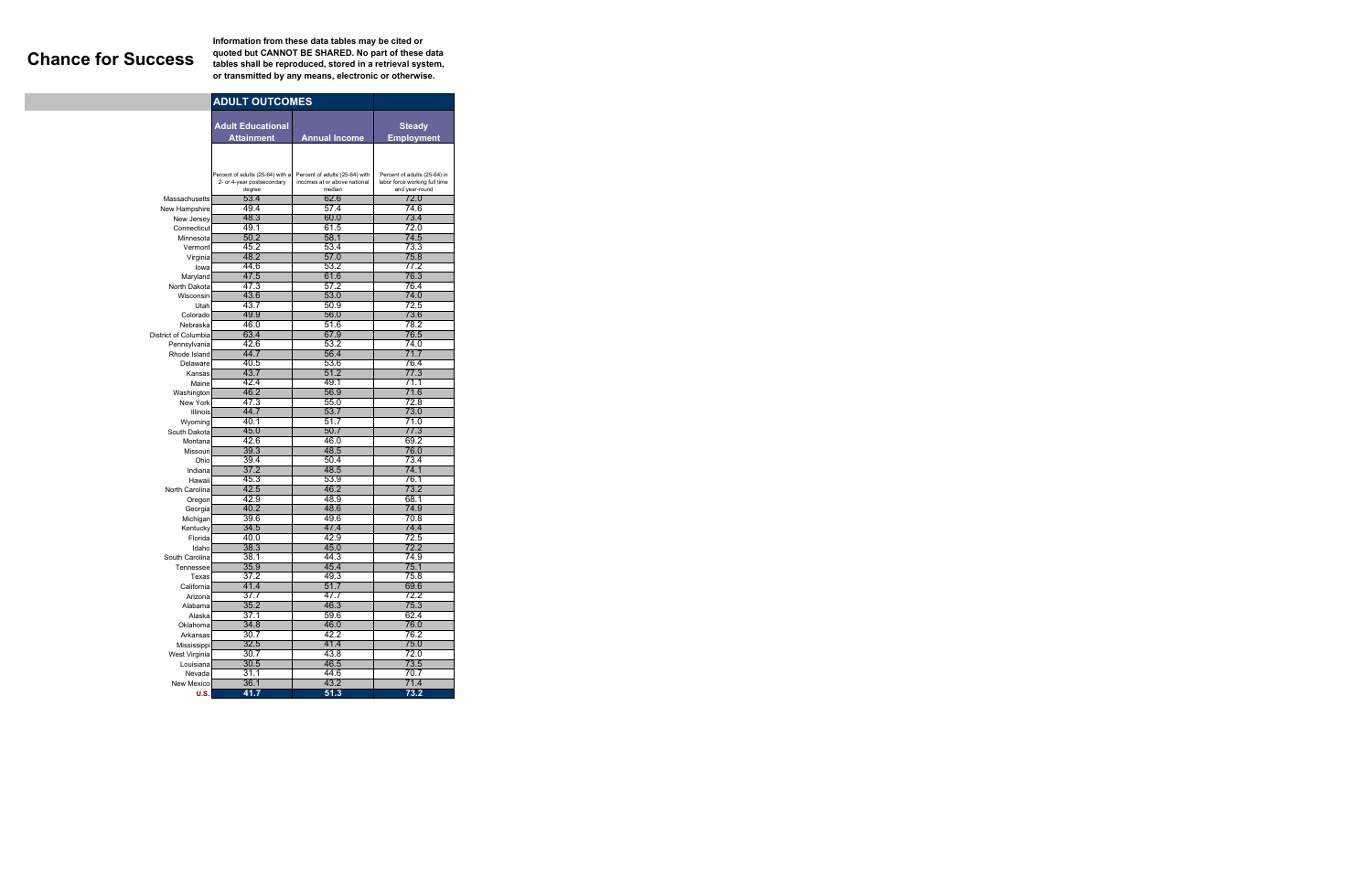**Information from these data tables may be cited or quoted but CANNOT BE SHARED. No part of these data Chance for Success tables shall be reproduced, stored in a retrieval system, or transmitted by any means, electronic or otherwise.** 

|                              | <b>ADULT OUTCOMES</b>            |                                |                               |
|------------------------------|----------------------------------|--------------------------------|-------------------------------|
|                              | <b>Adult Educational</b>         |                                |                               |
|                              |                                  |                                | <b>Steady</b>                 |
|                              | <b>Attainment</b>                | <b>Annual Income</b>           | <b>Employment</b>             |
|                              |                                  |                                |                               |
|                              |                                  |                                |                               |
|                              | Percent of adults (25-64) with a | Percent of adults (25-64) with | Percent of adults (25-64) in  |
|                              | 2- or 4-year postsecondary       | incomes at or above national   | labor force working full time |
| Massachusetts                | degree<br>53.4                   | median<br>62.6                 | and year-round<br>72.0        |
| New Hampshire                | 49.4                             | 57.4                           | 74.6                          |
| New Jersey                   | 48.3                             | 60.0                           | 73.4                          |
| Connecticut                  | 49.1                             | 61.5                           | 72 0                          |
| Minnesota                    | 50.2                             | 58.1                           | 74.5                          |
| Vermont                      | 45.2                             | 53.4                           | 73.3                          |
| Virginia                     | 48.2                             | 57.0                           | 75.8                          |
| lowa                         | 44.6                             | 53.2                           | 77.2                          |
| Maryland                     | 47.5                             | 61.6                           | 76.3                          |
| North Dakota                 | 47.3                             | 57.2                           | 76.4                          |
| Wisconsin                    | 43.6                             | 53.0                           | 74.0                          |
| Utah                         | 43.7                             | 50.9                           | 72.5                          |
| Colorado                     | 49.9                             | 56.0                           | 73.6                          |
| Nebraska                     | 46.0                             | 51.6                           | 78.2                          |
| District of Columbia         | 63.4<br>42.6                     | 67.9<br>53.2                   | 76.5<br>74.0                  |
| Pennsylvania<br>Rhode Island | 44.7                             | 56.4                           | 71.7                          |
| Delaware                     | 40.5                             | 53.6                           | 76.4                          |
| Kansas                       | 43.7                             | 51.2                           | 77.3                          |
| Maine                        | 42.4                             | 49.1                           | 71.1                          |
| Washington                   | 46.2                             | 56.9                           | 71.6                          |
| New York                     | 47.3                             | 55.0                           | 72.8                          |
| Illinois                     | 44.7                             | 53.7                           | 73.0                          |
| Wyoming                      | 40.1                             | 51.7                           | 71.0                          |
| South Dakota                 | 45.0                             | 50.7                           | 77.3                          |
| Montana                      | 42.6                             | 46.0                           | 69.2                          |
| Missouri                     | 39.3                             | 48.5                           | 76.0                          |
| Ohio                         | 39.4                             | 50.4                           | 73.4                          |
| Indiana                      | 37.2                             | 48.5                           | 74.1                          |
| Hawaii                       | 45.3                             | 53.9                           | 76.1                          |
| North Carolina               | 42.5                             | 46.2                           | 73.2                          |
| Oregon                       | 42.9<br>40.2                     | 48.9<br>48.6                   | 68.1<br>74.9                  |
| Georgia<br>Michigan          | 39.6                             | 49.6                           | 70.8                          |
| Kentucky                     | 34.5                             | 47.4                           | 74.4                          |
| Florida                      | 40.0                             | 42.9                           | 72.5                          |
| Idaho                        | 38.3                             | 45.0                           | 72.2                          |
| South Carolina               | 38.1                             | 44.3                           | 749                           |
| Tennessee                    | 35.9                             | 45.4                           | 75.1                          |
| Texas                        | 37.2                             | 49.3                           | 75.8                          |
| California                   | 41.4                             | 51.7                           | 69.6                          |
| Arizona                      | 37.7                             | 47.7                           | 72.2                          |
| Alabama                      | 35.2                             | 46.3                           | 75.3                          |
| Alaska                       | 37.1                             | 59.6                           | 62.4                          |
| Oklahoma                     | 34.8                             | 46.0                           | 76.0                          |
| Arkansas                     | 30.7                             | 42.2                           | 76.2                          |
| Mississippi                  | 32.5                             | 41.4                           | 75.0<br>72.0                  |
| West Virginia                | 30.7<br>30.5                     | 43.8<br>46.5                   | 73.5                          |
| Louisiana<br>Nevada          | 31.1                             | 44.6                           | 70.7                          |
| New Mexico                   | 36.1                             | 43.2                           | 71.4                          |
| U.S.                         | 41.7                             | 51.3                           | 73.2                          |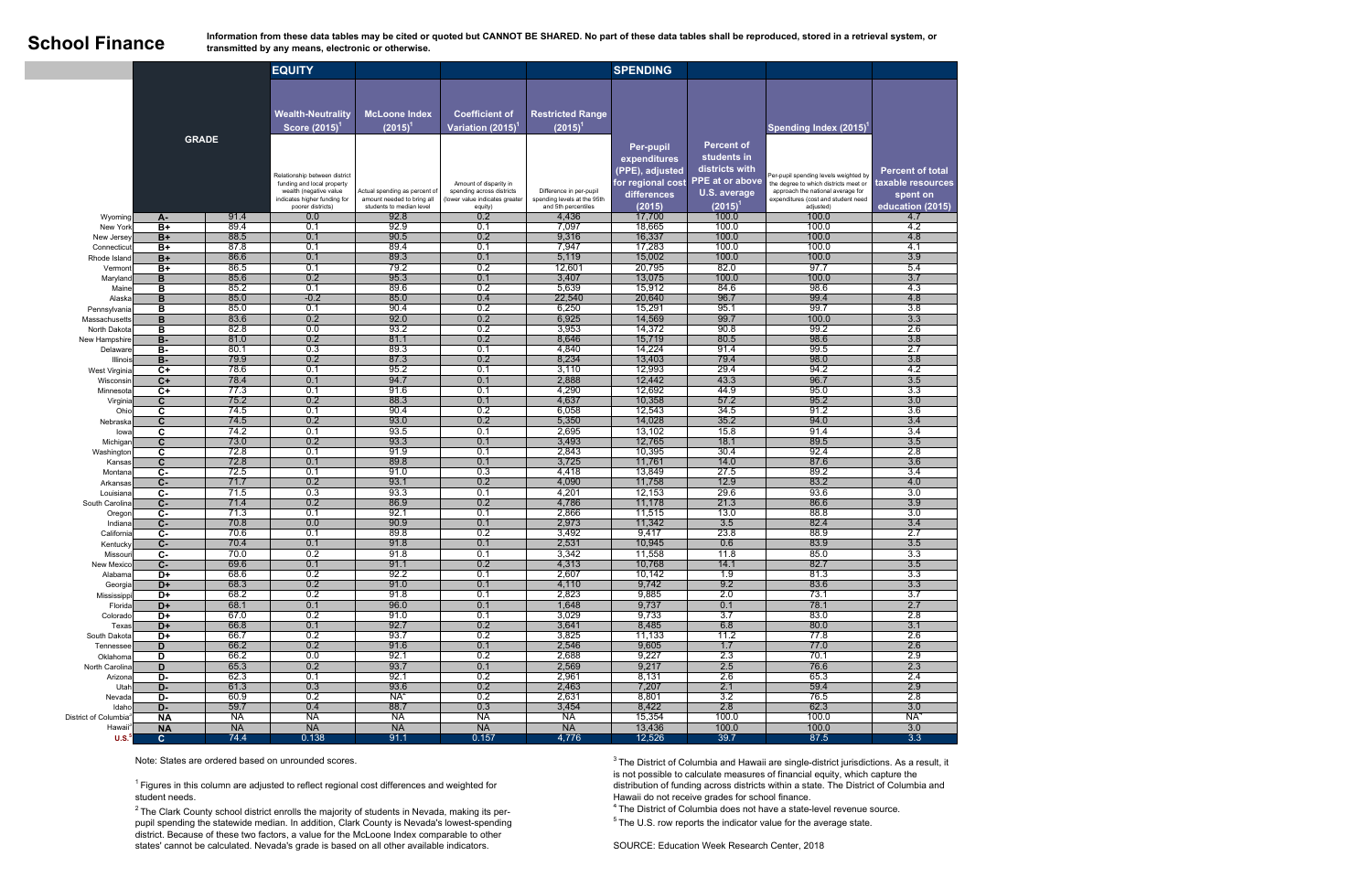Information from these data tables may be cited or quoted but CANNOT BE SHARED. No part of these data tables shall be reproduced, stored in a retrieval system, or **SChOOL FINANCE**<br> **SCHOOL FINANCE transmitted by any means, electronic or otherwise.** 

> $1$  Figures in this column are adjusted to reflect regional cost differences and weighted for student needs.

|                                   |                         |              | <b>EQUITY</b>                                                                                                                              |                                                                                         |                                                                                                  |                                                                               | <b>SPENDING</b>                                                                                   |                                                                                                        |                                                                                                                                                                         |                                                                              |
|-----------------------------------|-------------------------|--------------|--------------------------------------------------------------------------------------------------------------------------------------------|-----------------------------------------------------------------------------------------|--------------------------------------------------------------------------------------------------|-------------------------------------------------------------------------------|---------------------------------------------------------------------------------------------------|--------------------------------------------------------------------------------------------------------|-------------------------------------------------------------------------------------------------------------------------------------------------------------------------|------------------------------------------------------------------------------|
|                                   |                         | <b>GRADE</b> | <b>Wealth-Neutrality</b><br>Score (2015)                                                                                                   | <b>McLoone Index</b><br>$(2015)^{1}$                                                    | <b>Coefficient of</b><br>Variation (2015) <sup>1</sup>                                           | <b>Restricted Range</b><br>$(2015)^{1}$                                       |                                                                                                   |                                                                                                        | Spending Index (2015)                                                                                                                                                   |                                                                              |
|                                   |                         |              | Relationship between district<br>funding and local property<br>wealth (negative value<br>indicates higher funding for<br>poorer districts) | Actual spending as percent of<br>amount needed to bring all<br>students to median level | Amount of disparity in<br>spending across districts<br>(lower value indicates greater<br>equity) | Difference in per-pupil<br>spending levels at the 95th<br>and 5th percentiles | <b>Per-pupil</b><br>expenditures<br>(PPE), adjusted<br>for regional cost<br>differences<br>(2015) | <b>Percent of</b><br>students in<br>districts with<br><b>PPE</b> at or above<br>U.S. average<br>(2015) | Per-pupil spending levels weighted by<br>the degree to which districts meet or<br>approach the national average for<br>expenditures (cost and student need<br>adjusted) | <b>Percent of total</b><br>taxable resources<br>spent on<br>education (2015) |
| Wyoming                           | А-                      | 91.4         | 0.0                                                                                                                                        | 92.8                                                                                    | 0.2                                                                                              | 4,436                                                                         | 17,700                                                                                            | 100.0                                                                                                  | 100.0                                                                                                                                                                   | 4.7                                                                          |
| New York                          | B+                      | 89.4         | 0.1                                                                                                                                        | 92.9                                                                                    | 0.1                                                                                              | 7,097                                                                         | 18,665                                                                                            | 100.0                                                                                                  | 100.0                                                                                                                                                                   | 4.2                                                                          |
| New Jersey                        | $B+$                    | 88.5         | 0.1                                                                                                                                        | 90.5                                                                                    | 0.2                                                                                              | 9,316                                                                         | 16,337                                                                                            | 100.0                                                                                                  | 100.0                                                                                                                                                                   | 4.8                                                                          |
| Connecticut<br>Rhode Island       | $B+$<br>$B+$            | 87.8<br>86.6 | 0.1<br>0.1                                                                                                                                 | 89.4<br>89.3                                                                            | 0.1<br>0.1                                                                                       | 7,947<br>5,119                                                                | 17,283<br>15,002                                                                                  | 100.0<br>100.0                                                                                         | 100.0<br>100.0                                                                                                                                                          | $-4.1$<br>3.9                                                                |
| Vermont                           | B+                      | 86.5         | 0.1                                                                                                                                        | 79.2                                                                                    | 0.2                                                                                              | 12,601                                                                        | 20,795                                                                                            | 82.0                                                                                                   | 97.7                                                                                                                                                                    | 5.4                                                                          |
| Maryland                          | B                       | 85.6         | 0.2                                                                                                                                        | 95.3                                                                                    | 0.1                                                                                              | 3,407                                                                         | 13,075                                                                                            | 100.0                                                                                                  | 100.0                                                                                                                                                                   | 3.7                                                                          |
| Maine                             | в                       | 85.2         | 0.1                                                                                                                                        | 89.6                                                                                    | 0.2                                                                                              | 5,639                                                                         | 15,912                                                                                            | 84.6                                                                                                   | 98.6                                                                                                                                                                    | 4.3                                                                          |
| Alaska                            | $\overline{B}$          | 85.0         | $-0.2$                                                                                                                                     | 85.0                                                                                    | 0.4                                                                                              | 22,540                                                                        | 20,640                                                                                            | 96.7                                                                                                   | 99.4                                                                                                                                                                    | 4.8                                                                          |
| Pennsylvania                      | В                       | 85.0         | 0.1                                                                                                                                        | 90.4                                                                                    | 0.2                                                                                              | 6,250                                                                         | 15,291                                                                                            | 95.1                                                                                                   | 99.7                                                                                                                                                                    | $\overline{3.8}$                                                             |
| Massachusetts                     | $\overline{B}$          | 83.6         | 0.2                                                                                                                                        | 92.0                                                                                    | 0.2                                                                                              | 6,925                                                                         | 14,569                                                                                            | 99.7                                                                                                   | 100.0                                                                                                                                                                   | 3.3                                                                          |
| North Dakota                      | в                       | 82.8         | 0.0                                                                                                                                        | 93.2                                                                                    | 0.2                                                                                              | 3,953                                                                         | 14,372                                                                                            | 90.8                                                                                                   | 99.2                                                                                                                                                                    | 2.6                                                                          |
| New Hampshire                     | <b>B-</b>               | 81.0         | 0.2                                                                                                                                        | 81.1                                                                                    | 0.2                                                                                              | 8,646                                                                         | 15,719                                                                                            | 80.5                                                                                                   | 98.6                                                                                                                                                                    | 3.8                                                                          |
| Delaware                          | в.                      | 80.1         | 0.3                                                                                                                                        | 89.3                                                                                    | 0.1                                                                                              | 4,840                                                                         | 14,224                                                                                            | 91.4                                                                                                   | 99.5                                                                                                                                                                    | 2.7                                                                          |
| Illinois                          | <b>B-</b>               | 79.9         | 0.2                                                                                                                                        | 87.3                                                                                    | 0.2                                                                                              | 8,234                                                                         | 13,403                                                                                            | 79.4                                                                                                   | 98.0                                                                                                                                                                    | 3.8                                                                          |
| West Virginia                     | $\overline{C+}$         | 78.6         | 0.1                                                                                                                                        | 95.2                                                                                    | 0.1                                                                                              | 3,110                                                                         | 12,993                                                                                            | 29.4                                                                                                   | 94.2                                                                                                                                                                    | 4.2                                                                          |
| Wisconsin                         | $C+$                    | 78.4         | 0.1                                                                                                                                        | 94.7                                                                                    | 0.1                                                                                              | 2,888                                                                         | 12,442                                                                                            | 43.3                                                                                                   | 96.7                                                                                                                                                                    | 3.5                                                                          |
| Minnesota                         | $C+$                    | 77.3         | 0.1                                                                                                                                        | 91.6                                                                                    | 0.1                                                                                              | 4,290                                                                         | 12,692                                                                                            | 44.9                                                                                                   | 95.0                                                                                                                                                                    | 3.3                                                                          |
| Virginia                          | С                       | 75.2         | 0.2                                                                                                                                        | 88.3                                                                                    | 0.1                                                                                              | 4,637                                                                         | 10,358                                                                                            | 57.2                                                                                                   | 95.2                                                                                                                                                                    | 3.0                                                                          |
| Ohic                              | $\overline{\mathbf{c}}$ | 74.5<br>74.5 | 0.1<br>0.2                                                                                                                                 | 90.4<br>93.0                                                                            | 0.2<br>0.2                                                                                       | 6,058<br>5,350                                                                | 12,543<br>14,028                                                                                  | 34.5<br>35.2                                                                                           | 91.2<br>94.0                                                                                                                                                            | 3.6<br>3.4                                                                   |
| Nebraska                          | C                       | 74.2         | 0.1                                                                                                                                        | 93.5                                                                                    |                                                                                                  | 2,695                                                                         | 13,102                                                                                            | 15.8                                                                                                   | 91.4                                                                                                                                                                    | 3.4                                                                          |
| lowa<br>Michigar                  | C<br>$\mathbf{C}$       | 73.0         | 0.2                                                                                                                                        | 93.3                                                                                    | 0.1<br>0.1                                                                                       | 3,493                                                                         | 12,765                                                                                            | 18.1                                                                                                   | 89.5                                                                                                                                                                    | 3.5                                                                          |
|                                   | C                       | 72.8         | 0.1                                                                                                                                        | 91.9                                                                                    | 0.1                                                                                              | 2,843                                                                         | 10,395                                                                                            | 30.4                                                                                                   | 92.4                                                                                                                                                                    | 2.8                                                                          |
| Washington<br>Kansas              | $\mathbf{C}$            | 72.8         | 0.1                                                                                                                                        | 89.8                                                                                    | 0.1                                                                                              | 3,725                                                                         | 11,761                                                                                            | 14.0                                                                                                   | 87.6                                                                                                                                                                    | 3.6                                                                          |
| Montana                           | $C -$                   | 72.5         | 0.1                                                                                                                                        | 91.0                                                                                    | 0.3                                                                                              | 4,418                                                                         | 13,849                                                                                            | 27.5                                                                                                   | 89.2                                                                                                                                                                    | 3.4                                                                          |
| Arkansas                          | $C -$                   | 71.7         | 0.2                                                                                                                                        | 93.1                                                                                    | 0.2                                                                                              | 4,090                                                                         | 11,758                                                                                            | 12.9                                                                                                   | 83.2                                                                                                                                                                    | 4.0                                                                          |
| Louisiana                         | $\overline{c}$          | 71.5         | 0.3                                                                                                                                        | 93.3                                                                                    | 0.1                                                                                              | 4,201                                                                         | 12,153                                                                                            | 29.6                                                                                                   | 93.6                                                                                                                                                                    | 3.0                                                                          |
| South Carolina                    | $C -$                   | 71.4         | 0.2                                                                                                                                        | 86.9                                                                                    | 0.2                                                                                              | 4,786                                                                         | 11,178                                                                                            | 21.3                                                                                                   | 86.6                                                                                                                                                                    | 3.9                                                                          |
| Oregon                            | Ċ-                      | 71.3         | 0.1                                                                                                                                        | 92.1                                                                                    | 0.1                                                                                              | 2,866                                                                         | 11,515                                                                                            | 13.0                                                                                                   | 88.8                                                                                                                                                                    | 3.0                                                                          |
| Indiana                           | $C -$                   | 70.8         | 0.0                                                                                                                                        | 90.9                                                                                    | 0.1                                                                                              | 2,973                                                                         | 11,342                                                                                            | 3.5                                                                                                    | 82.4                                                                                                                                                                    | 3.4                                                                          |
| California                        | $c-$                    | 70.6         | 0.1                                                                                                                                        | 89.8                                                                                    | 0.2                                                                                              | 3,492                                                                         | 9,417                                                                                             | 23.8                                                                                                   | 88.9                                                                                                                                                                    | 2.7                                                                          |
| Kentucky                          | $C -$                   | 70.4         | 0.1                                                                                                                                        | 91.8                                                                                    | 0.1                                                                                              | 2,531                                                                         | 10,945                                                                                            | 0.6                                                                                                    | 83.9                                                                                                                                                                    | 3.5                                                                          |
| Missouri                          | C-                      | 70.0         | 0.2                                                                                                                                        | 91.8                                                                                    | 0.1                                                                                              | 3,342                                                                         | 11,558                                                                                            | 11.8                                                                                                   | 85.0                                                                                                                                                                    | 3.3                                                                          |
| New Mexico                        | C-                      | 69.6         | 0.1                                                                                                                                        | 91.1                                                                                    | 0.2                                                                                              | 4,313                                                                         | 10,768                                                                                            | 14.1                                                                                                   | 82.7                                                                                                                                                                    | 3.5                                                                          |
| Alabama                           | D+                      | 68.6         | 0.2                                                                                                                                        | 92.2                                                                                    | 0.1                                                                                              | 2,607                                                                         | 10,142                                                                                            | $\overline{1.9}$                                                                                       | 81.3                                                                                                                                                                    | 3.3                                                                          |
| Georgia                           | D+                      | 68.3         | 0.2                                                                                                                                        | 91.0                                                                                    | 0.1                                                                                              | 4,110                                                                         | 9,742                                                                                             | 9.2                                                                                                    | 83.6                                                                                                                                                                    | 3.3                                                                          |
| Mississippi                       | D+                      | 68.2         | 0.2                                                                                                                                        | 91.8                                                                                    | 0.1                                                                                              | 2,823                                                                         | 9,885                                                                                             | 2.0                                                                                                    | 73.1                                                                                                                                                                    | $\overline{3.7}$                                                             |
| Florida                           | D+                      | 68.1         | 0.1                                                                                                                                        | 96.0                                                                                    | 0.1                                                                                              | 1,648                                                                         | 9,737                                                                                             | 0.1<br>$\overline{3.7}$                                                                                | 78.1                                                                                                                                                                    | 2.7                                                                          |
| Colorado                          | D+<br>$D+$              | 67.0<br>66.8 | 0.2<br>0.1                                                                                                                                 | 91.0<br>92.7                                                                            | 0.1<br>0.2                                                                                       | 3,029<br>3,641                                                                | 9,733<br>8,485                                                                                    | 6.8                                                                                                    | 83.0<br>80.0                                                                                                                                                            | 2.8<br>3.1                                                                   |
| Texas                             |                         | 66.7         | 0.2                                                                                                                                        | 93.7                                                                                    | 0.2                                                                                              | 3,825                                                                         | 11,133                                                                                            | 11.2                                                                                                   | 77.8                                                                                                                                                                    | 2.6                                                                          |
| South Dakota<br>Tennessee         | D+<br>D                 | 66.2         | 0.2                                                                                                                                        | 91.6                                                                                    | 0.1                                                                                              | 2,546                                                                         | 9,605                                                                                             | 1.7                                                                                                    | 77.0                                                                                                                                                                    | 2.6                                                                          |
| Oklahoma                          | D                       | 66.2         | 0.0                                                                                                                                        | 92.1                                                                                    | 0.2                                                                                              | 2,688                                                                         | 9,227                                                                                             | 2.3                                                                                                    | 70.1                                                                                                                                                                    | $\overline{2.9}$                                                             |
| North Carolina                    | D                       | 65.3         | 0.2                                                                                                                                        | 93.7                                                                                    | 0.1                                                                                              | 2,569                                                                         | 9,217                                                                                             | 2.5                                                                                                    | 76.6                                                                                                                                                                    | 2.3                                                                          |
| Arizona                           | D-                      | 62.3         | 0.1                                                                                                                                        | 92.1                                                                                    | 0.2                                                                                              | 2,961                                                                         | 8,131                                                                                             | 2.6                                                                                                    | 65.3                                                                                                                                                                    | 2.4                                                                          |
| Utah                              | D-                      | 61.3         | 0.3                                                                                                                                        | 93.6                                                                                    | 0.2                                                                                              | 2,463                                                                         | 7,207                                                                                             | 2.1                                                                                                    | 59.4                                                                                                                                                                    | 2.9                                                                          |
| Nevada                            | D-                      | 60.9         | 0.2                                                                                                                                        | $\n  NA\n$                                                                              | 0.2                                                                                              | 2,631                                                                         | 8,801                                                                                             | 3.2                                                                                                    | 76.5                                                                                                                                                                    | 2.8                                                                          |
| Idaho                             | D-                      | 59.7         | 0.4                                                                                                                                        | 88.7                                                                                    | 0.3                                                                                              | 3,454                                                                         | 8,422                                                                                             | 2.8                                                                                                    | 62.3                                                                                                                                                                    | 3.0                                                                          |
| District of Columbia <sup>3</sup> | <b>NA</b>               | <b>NA</b>    | <b>NA</b>                                                                                                                                  | <b>NA</b>                                                                               | <b>NA</b>                                                                                        | <b>NA</b>                                                                     | 15,354                                                                                            | 100.0                                                                                                  | 100.0                                                                                                                                                                   | NA <sup>4</sup>                                                              |
| Hawaii <sup>3</sup>               | <b>NA</b>               | <b>NA</b>    | <b>NA</b>                                                                                                                                  | <b>NA</b>                                                                               | <b>NA</b>                                                                                        | <b>NA</b>                                                                     | 13,436                                                                                            | 100.0                                                                                                  | 100.0                                                                                                                                                                   | 3.0                                                                          |
| U.S. <sup>5</sup>                 | $\mathbf{C}$            | 74.4         | 0.138                                                                                                                                      | 91.1                                                                                    | 0.157                                                                                            | 4,776                                                                         | 12,526                                                                                            | 39.7                                                                                                   | 87.5                                                                                                                                                                    | 3.3                                                                          |

 $2$  The Clark County school district enrolls the majority of students in Nevada, making its perpupil spending the statewide median. In addition, Clark County is Nevada's lowest-spending district. Because of these two factors, a value for the McLoone Index comparable to other states' cannot be calculated. Nevada's grade is based on all other available indicators.

 $3$  The District of Columbia and Hawaii are single-district jurisdictions. As a result, it is not possible to calculate measures of financial equity, which capture the distribution of funding across districts within a state. The District of Columbia and Hawaii do not receive grades for school finance.

 $4$  The District of Columbia does not have a state-level revenue source.

 $5$  The U.S. row reports the indicator value for the average state.

Note: States are ordered based on unrounded scores.

SOURCE: Education Week Research Center, 2018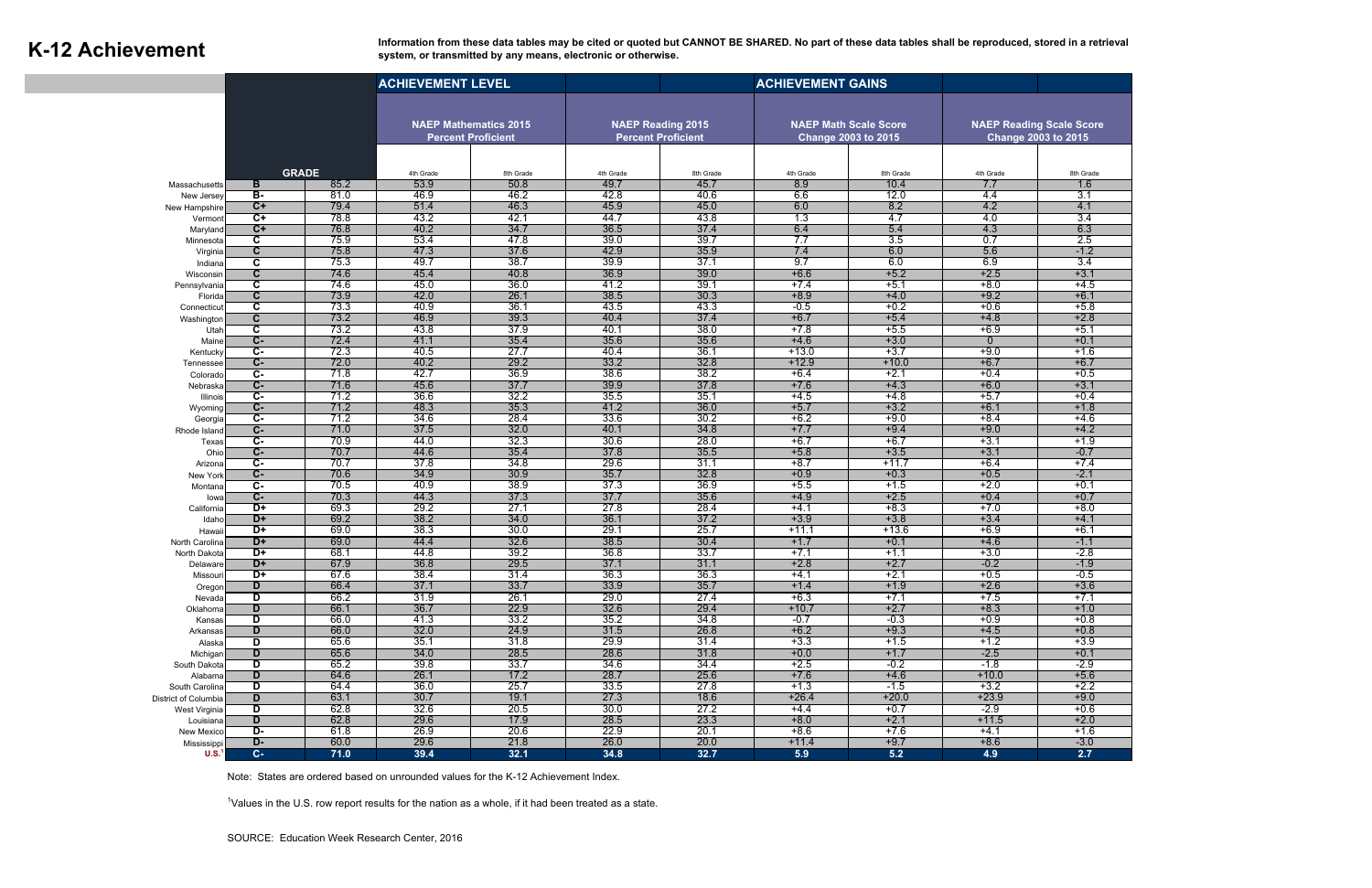Information from these data tables may be cited or quoted but CANNOT BE SHARED. No part of these data tables shall be reproduced, stored in a retrieval system, or transmitted by any means, electronic or otherwise. **system, or transmitted by any means, electronic or otherwise.** 

|                                  | <b>ACHIEVEMENT LEVEL</b>                           |              |                                                           |              |                                                       |              |                                                            |                   |                                                               |                  |
|----------------------------------|----------------------------------------------------|--------------|-----------------------------------------------------------|--------------|-------------------------------------------------------|--------------|------------------------------------------------------------|-------------------|---------------------------------------------------------------|------------------|
|                                  |                                                    |              | <b>NAEP Mathematics 2015</b><br><b>Percent Proficient</b> |              | <b>NAEP Reading 2015</b><br><b>Percent Proficient</b> |              | <b>NAEP Math Scale Score</b><br><b>Change 2003 to 2015</b> |                   | <b>NAEP Reading Scale Score</b><br><b>Change 2003 to 2015</b> |                  |
|                                  |                                                    | <b>GRADE</b> | 4th Grade                                                 | 8th Grade    | 4th Grade                                             | 8th Grade    | 4th Grade                                                  | 8th Grade         | 4th Grade                                                     | 8th Grade        |
| Massachusetts                    | B                                                  | 85.2         | 53.9                                                      | 50.8         | 49.7                                                  | 45.7         | 8.9                                                        | 10.4              | 7.7                                                           | 1.6              |
| New Jersey                       | в-                                                 | 81.0         | 46.9                                                      | 46.2         | 42.8                                                  | 40.6         | 6.6                                                        | 12.0              | 4.4                                                           | 3.1              |
| New Hampshire                    | $C+$                                               | 79.4         | 51.4                                                      | 46.3         | 45.9                                                  | 45.0         | 6.0                                                        | 8.2               | 4.2                                                           | 4.1              |
| Vermont                          | $\overline{C+}$                                    | 78.8         | 43.2                                                      | 42.1         | 44.7                                                  | 43.8         | 1.3                                                        | -4.7              | 4.0                                                           | 3.4              |
| Maryland                         | $\overline{C}$ +                                   | 76.8         | 40.2                                                      | 34.7         | 36.5                                                  | 37.4         | 6.4                                                        | 5.4               | 4.3                                                           | 6.3              |
| Minnesota                        | C                                                  | 75.9         | 53.4                                                      | 47.8         | 39.0                                                  | 39.7         | 7.7                                                        | 3.5               | 0.7                                                           | 2.5              |
| Virginia                         | $\overline{\mathbf{c}}$                            | 75.8         | 47.3                                                      | 37.6         | 42.9                                                  | 35.9         | 7.4                                                        | 6.0               | 5.6                                                           | $-1.2$           |
| Indiana                          | c                                                  | 75.3         | 49.7                                                      | 38.7         | 39.9                                                  | 37.1         | 9.7                                                        | 6.0               | 6.9                                                           | 3.4              |
| Wisconsin                        | $\mathbf c$                                        | 74.6         | 45.4                                                      | 40.8<br>36.0 | 36.9                                                  | 39.0<br>39.7 | $+6.6$                                                     | $+5.2$            | $+2.5$                                                        | $+3.1$           |
| Pennsylvania                     | $\overline{\mathbf{c}}$<br>$\overline{\mathbf{c}}$ | 74.6<br>73.9 | 45.0<br>42.0                                              | 26.1         | 41.2<br>38.5                                          | 30.3         | $+7.4$<br>$+8.9$                                           | $+5.1$            | $+8.0$<br>$+9.2$                                              | $+4.5$<br>$+6.1$ |
| Florida                          | C                                                  | 73.3         | 40.9                                                      | 36.1         | 43.5                                                  | 43.3         | $-0.5$                                                     | $+4.0$<br>$+0.2$  | $+0.6$                                                        | $+5.8$           |
| Connecticut<br>Washington        | ट                                                  | 73.2         | 46.9                                                      | 39.3         | 40.4                                                  | 37.4         | $+6.7$                                                     | $+5.4$            | $+4.8$                                                        | $+2.8$           |
| Utar                             | $\overline{\mathbf{c}}$                            | 73.2         | 43.8                                                      | 37.9         | 40.1                                                  | 38.0         | $+7.8$                                                     | $+5.5$            | $+6.9$                                                        | $+5.1$           |
| Maine                            | $\overline{C}$ -                                   | 72.4         | 41.1                                                      | 35.4         | 35.6                                                  | 35.6         | $+4.6$                                                     | $+3.0$            | 0                                                             | $+0.1$           |
| Kentucky                         | $\overline{c}$ -                                   | 72.3         | 40.5                                                      | 27.7         | 40.4                                                  | 36.1         | $+13.0$                                                    | $+3.7$            | $+9.0$                                                        | $+1.6$           |
| Tennessee                        | $C-$                                               | 72.0         | 40.2                                                      | 29.2         | 33.2                                                  | 32.8         | $+12.9$                                                    | $+10.0$           | $+6.7$                                                        | $+6.7$           |
| Colorado                         | Ċ-                                                 | 71.8         | 42.7                                                      | 36.9         | 38.6                                                  | 38.2         | $+6.4$                                                     | $+2.1$            | $+0.4$                                                        | $+0.5$           |
| Nebraska                         | $\overline{C}$ -                                   | 71.6         | 45.6                                                      | 37.7         | 39.9                                                  | 37.8         | $+7.6$                                                     | $+4.3$            | $+6.0$                                                        | $+3.1$           |
| Illinois                         | Ċ-                                                 | 71.2         | 36.6                                                      | 32.2         | 35.5                                                  | 35.1         | $+4.5$                                                     | $+4.8$            | $+5.7$                                                        | $+0.4$           |
| Wyoming                          | $\overline{C}$ -                                   | 71.2         | 48.3                                                      | 35.3         | 41.2                                                  | 36.0         | $+5.7$                                                     | $+3.2$            | $+6.1$                                                        | $+1.8$           |
| Georgia                          | C-                                                 | 71.2         | 34.6                                                      | 28.4         | 33.6                                                  | 30.2         | $+6.2$                                                     | $+9.0$            | $+8.4$                                                        | $+4.6$           |
| Rhode Island                     | $C -$                                              | 71.0         | 37.5                                                      | 32.0         | 40.1                                                  | 34.8         | $+7.7$                                                     | $+9.4$            | $+9.0$                                                        | $+4.2$           |
| Texas                            | C-                                                 | 70.9         | 44.0                                                      | 32.3         | 30.6                                                  | 28.0         | $+6.7$                                                     | $+6.7$            | $+3.1$                                                        | $+1.9$           |
| Ohio                             | $C -$                                              | 70.7         | 44.6                                                      | 35.4         | 37.8                                                  | 35.5         | $+5.8$                                                     | $+3.5$            | $+3.1$                                                        | $-0.7$           |
| Arizona                          | C-                                                 | 70.7         | 37.8                                                      | 34.8         | 29.6                                                  | 31.1         | $+8.7$                                                     | $+11.7$           | $+6.4$                                                        | $+7.4$           |
| New York                         | $\overline{C}$ -                                   | 70.6         | 34.9                                                      | 30.9         | 35.7                                                  | 32.8         | $+0.9$                                                     | $+0.3$            | $+0.5$                                                        | $-2.1$           |
| Montana                          | $\overline{c}$ -                                   | 70.5         | 40.9                                                      | 38.9         | 37.3                                                  | 36.9         | $+5.5$                                                     | $+1.5$            | $+2.0$                                                        | $+0.1$           |
| lowa                             | C-                                                 | 70.3         | 44.3                                                      | 37.3         | 37.7                                                  | 35.6         | $+4.9$                                                     | $+2.5$            | $+0.4$                                                        | $+0.7$           |
| California                       | $\overline{D+}$<br>$D+$                            | 69.3<br>69.2 | 29.2                                                      | 27.1<br>34.0 | 27.8<br>36.1                                          | 28.4<br>37.2 | $+4.1$<br>$+3.9$                                           | $+8.3$            | $+7.0$<br>$+3.4$                                              | $+8.0$<br>$+4.1$ |
| Idaho                            | $\overline{D+}$                                    | 69.0         | 38.2<br>38.3                                              | 30.0         | 29.1                                                  | 25.7         | $+11.1$                                                    | $+3.8$<br>$+13.6$ | $+6.9$                                                        | $+6.1$           |
| Hawaii<br>North Carolina         | D+                                                 | 69.0         | 44.4                                                      | 32.6         | 38.5                                                  | 30.4         | $+1.7$                                                     | $+0.1$            | $+4.6$                                                        | $-1.1$           |
| North Dakota                     | D+                                                 | 68.1         | 44.8                                                      | 39.2         | 36.8                                                  | 33.7         | $+7.1$                                                     | $+1.1$            | $+3.0$                                                        | $-2.8$           |
| Delaware                         | $D+$                                               | 67.9         | 36.8                                                      | 29.5         | 37.1                                                  | 31.1         | $+2.8$                                                     | $+2.7$            | $-0.2$                                                        | $-1.9$           |
| Missouri                         | +ט                                                 | 67. O        | 38.4                                                      | 31.4         | 36.3                                                  | 36.3         | +4.1                                                       | +2.1              | $+0.5$                                                        | -0.5             |
| Oregon                           | D                                                  | 66.4         | 37.1                                                      | 33.7         | 33.9                                                  | 35.7         | $+1.4$                                                     | $+1.9$            | $+2.6$                                                        | $+3.6$           |
| Nevada                           | D                                                  | 66.2         | 31.9                                                      | 26.1         | 29.0                                                  | 27.4         | $+6.3$                                                     | $+7.1$            | $+7.5$                                                        | $+7.1$           |
| Oklahoma                         | D                                                  | 66.1         | 36.7                                                      | 22.9         | 32.6                                                  | 29.4         | $+10.7$                                                    | $+2.7$            | $+8.3$                                                        | $+1.0$           |
| Kansas                           | D                                                  | 66.0         | 41.3                                                      | 33.2         | 35.2                                                  | 34.8         | $-0.7$                                                     | $-0.3$            | $+0.9$                                                        | $+0.8$           |
| Arkansas                         | D                                                  | 66.0         | 32.0                                                      | 24.9         | 31.5                                                  | 26.8         | $+6.2$                                                     | $+9.3$            | $+4.5$                                                        | $+0.8$           |
| Alaska                           | D                                                  | 65.6         | 35.1                                                      | 31.8         | 29.9                                                  | 31.4         | $+3.3$                                                     | $+1.5$            | $+1.2$                                                        | $+3.9$           |
| Michigan                         | D                                                  | 65.6         | 34.0                                                      | 28.5         | 28.6                                                  | 31.8         | $+0.0$                                                     | $+1.7$            | $-2.5$                                                        | $+0.1$           |
| South Dakota                     | D                                                  | 65.2         | 39.8                                                      | 33.7         | 34.6                                                  | 34.4         | $+2.5$                                                     | $-0.2$            | $-1.8$                                                        | $-2.9$           |
| Alabama                          | D                                                  | 64.6         | 26.1                                                      | 17.2         | 28.7                                                  | 25.6         | $+7.6$                                                     | $+4.6$            | $+10.0$                                                       | $+5.6$           |
| South Carolina                   | D                                                  | 64.4         | 36.0                                                      | 25.7         | 33.5                                                  | 27.8         | $+1.3$                                                     | $-1.5$            | $+3.2$                                                        | $+2.2$           |
| District of Columbia             | D                                                  | 63.1         | 30.7                                                      | 19.1         | 27.3                                                  | 18.6         | $+26.4$                                                    | $+20.0$           | $+23.9$                                                       | $+9.0$           |
| West Virginia                    | D                                                  | 62.8         | 32.6                                                      | 20.5         | 30.0                                                  | 27.2         | $+4.4$                                                     | $+0.7$            | $-2.9$                                                        | $+0.6$           |
| Louisiana                        | D<br>D-                                            | 62.8<br>61.8 | 29.6<br>26.9                                              | 17.9<br>20.6 | 28.5<br>22.9                                          | 23.3<br>20.1 | $+8.0$<br>$+8.6$                                           | $+2.1$<br>$+7.6$  | $+11.5$<br>$+4.1$                                             | $+2.0$<br>$+1.6$ |
| New Mexico                       | D-                                                 | 60.0         | 29.6                                                      | 21.8         | 26.0                                                  | 20.0         | $+11.4$                                                    | $+9.7$            | $+8.6$                                                        | $-3.0$           |
| Mississippi<br>U.S. <sup>1</sup> | $C -$                                              | 71.0         | 39.4                                                      | 32.1         | 34.8                                                  | 32.7         | 5.9                                                        | 5.2               | 4.9                                                           | 2.7              |
|                                  |                                                    |              |                                                           |              |                                                       |              |                                                            |                   |                                                               |                  |

Note: States are ordered based on unrounded values for the K-12 Achievement Index.

 $1$ Values in the U.S. row report results for the nation as a whole, if it had been treated as a state.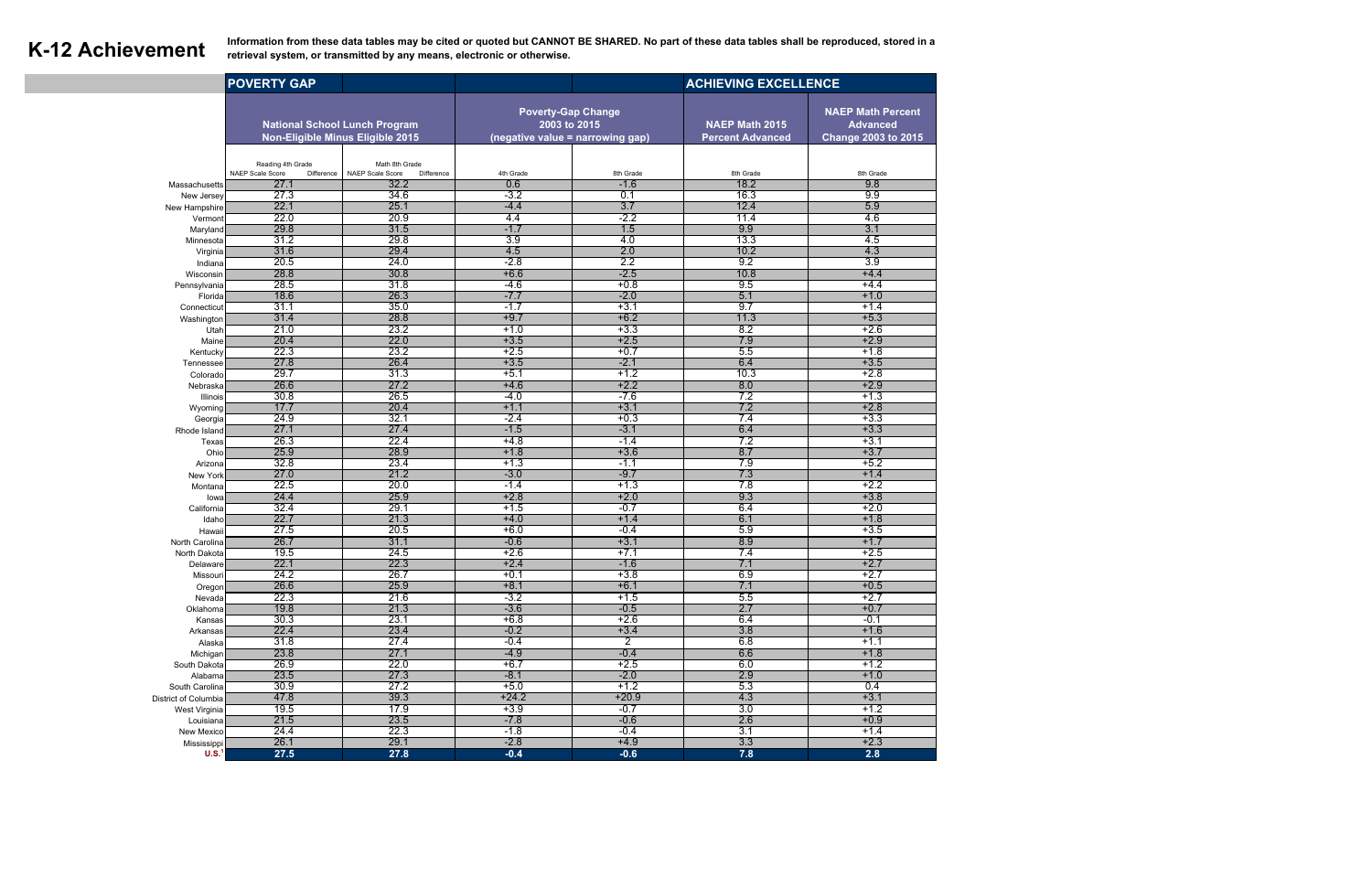**K-12 Achievement** Information from these data tables may be cited or quoted but CANNOT BE SHARED. No part of these data tables shall be reproduced, stored in a retrieval system, or transmitted by any means, electronic or **retrieval system, or transmitted by any means, electronic or otherwise.** 

|                                       | <b>POVERTY GAP</b>                                                       |                                                  |                                                                               | <b>ACHIEVING EXCELLENCE</b> |                                                  |                                                                           |
|---------------------------------------|--------------------------------------------------------------------------|--------------------------------------------------|-------------------------------------------------------------------------------|-----------------------------|--------------------------------------------------|---------------------------------------------------------------------------|
|                                       | <b>National School Lunch Program</b><br>Non-Eligible Minus Eligible 2015 |                                                  | <b>Poverty-Gap Change</b><br>2003 to 2015<br>(negative value = narrowing gap) |                             | <b>NAEP Math 2015</b><br><b>Percent Advanced</b> | <b>NAEP Math Percent</b><br><b>Advanced</b><br><b>Change 2003 to 2015</b> |
|                                       |                                                                          |                                                  |                                                                               |                             |                                                  |                                                                           |
|                                       | Reading 4th Grade<br>NAEP Scale Score<br>Difference                      | Math 8th Grade<br>NAEP Scale Score<br>Difference | 4th Grade                                                                     | 8th Grade                   | 8th Grade                                        | 8th Grade                                                                 |
| Massachusetts                         | 27.1                                                                     | 32.2                                             | 0.6                                                                           | $-1.6$                      | 18.2                                             | 9.8                                                                       |
| New Jersey                            | 27.3                                                                     | 34.6                                             | $-3.2$                                                                        | 0.1                         | 16.3                                             | 9.9                                                                       |
| New Hampshire                         | 22.1                                                                     | 25.1                                             | $-4.4$                                                                        | 3.7                         | 12.4                                             | 5.9                                                                       |
| Vermont                               | 22.0                                                                     | 20.9                                             | 4.4                                                                           | $-2.2$                      | 11.4                                             | 4.6                                                                       |
| Maryland                              | 29.8                                                                     | 31.5                                             | $-1.7$                                                                        | 1.5                         | 9.9                                              | 3.1                                                                       |
| Minnesota                             | 31.2<br>31.6                                                             | 29.8<br>29.4                                     | 3.9                                                                           | 4.0<br>2.0                  | 13.3<br>10.2                                     | 4.5                                                                       |
| Virginia<br>Indiana                   | 20.5                                                                     | 24.0                                             | 4.5<br>$-2.8$                                                                 | 2.2                         | 9.2                                              | 4.3<br>$\overline{3.9}$                                                   |
| Wisconsin                             | 28.8                                                                     | 30.8                                             | $+6.6$                                                                        | $-2.5$                      | 10.8                                             | $+4.4$                                                                    |
| Pennsylvania                          | 28.5                                                                     | 31.8                                             | $-4.6$                                                                        | $+0.8$                      | 9.5                                              | $+4.4$                                                                    |
| Florida                               | 18.6                                                                     | 26.3                                             | $-7.7$                                                                        | $-2.0$                      | 5.1                                              | $+1.0$                                                                    |
| Connecticut                           | 31.1                                                                     | 35.0                                             | $-1.7$                                                                        | $+3.1$                      | 9.7                                              | $+1.4$                                                                    |
| Washington                            | 31.4                                                                     | 28.8                                             | $+9.7$                                                                        | $+6.2$                      | 11.3                                             | $+5.3$                                                                    |
| Utah                                  | 21.0                                                                     | 23.2                                             | $+1.0$                                                                        | $+3.3$                      | 8.2                                              | $+2.6$                                                                    |
| Maine                                 | 20.4                                                                     | 22.0                                             | $+3.5$                                                                        | $+2.5$                      | 7.9                                              | $+2.9$                                                                    |
| Kentucky                              | 22.3                                                                     | 23.2                                             | $+2.5$                                                                        | $+0.7$                      | 5.5                                              | $+1.8$                                                                    |
| Tennessee                             | 27.8<br>29.7                                                             | 26.4<br>31.3                                     | $+3.5$<br>$+5.1$                                                              | $-2.1$<br>$+1.2$            | 6.4<br>10.3                                      | $+3.5$<br>$+2.8$                                                          |
| Colorado<br>Nebraska                  | 26.6                                                                     | 27.2                                             | $+4.6$                                                                        | $+2.2$                      | 8.0                                              | $+2.9$                                                                    |
| Illinois                              | 30.8                                                                     | 26.5                                             | $-4.0$                                                                        | $-7.6$                      | 7.2                                              | $+1.3$                                                                    |
| Wyoming                               | 17.7                                                                     | 20.4                                             | $+1.1$                                                                        | $+3.1$                      | 7.2                                              | $+2.8$                                                                    |
| Georgia                               | 24.9                                                                     | 32.1                                             | $-2.4$                                                                        | $+0.3$                      | 7.4                                              | $+3.3$                                                                    |
| Rhode Island                          | 27.1                                                                     | 27.4                                             | $-1.5$                                                                        | $-3.1$                      | 6.4                                              | $+3.3$                                                                    |
| Texas                                 | 26.3                                                                     | 22.4                                             | $+4.8$                                                                        | $-1.4$                      | 7.2                                              | $+3.1$                                                                    |
| Ohio                                  | 25.9                                                                     | 28.9                                             | $+1.8$                                                                        | $+3.6$                      | 8.7                                              | $+3.7$                                                                    |
| Arizona                               | 32.8                                                                     | 23.4                                             | $+1.3$                                                                        | $-1.1$                      | 7.9                                              | $+5.2$                                                                    |
| New York                              | 27.0<br>22.5                                                             | 21.2<br>20.0                                     | $-3.0$<br>$-1.4$                                                              | $-9.7$<br>$+1.3$            | 7.3<br>7.8                                       | $+1.4$<br>$+2.2$                                                          |
| Montana<br>lowa                       | 24.4                                                                     | 25.9                                             | $+2.8$                                                                        | $+2.0$                      | 9.3                                              | $+3.8$                                                                    |
| California                            | 32.4                                                                     | 29.1                                             | $+1.5$                                                                        | $-0.7$                      | 6.4                                              | $+2.0$                                                                    |
| Idaho                                 | 22.7                                                                     | 21.3                                             | $+4.0$                                                                        | $+1.4$                      | 6.1                                              | $+1.8$                                                                    |
| Hawaii                                | 27.5                                                                     | 20.5                                             | $+6.0$                                                                        | $-0.4$                      | 5.9                                              | $+3.5$                                                                    |
| North Carolina                        | 26.7                                                                     | 31.1                                             | $-0.6$                                                                        | $+3.1$                      | 8.9                                              | $+1.7$                                                                    |
| North Dakota                          | 19.5                                                                     | 24.5                                             | $+2.6$                                                                        | $+7.1$                      | 7.4                                              | $+2.5$                                                                    |
| Delaware                              | 22.1                                                                     | 22.3                                             | $+2.4$                                                                        | $-1.6$                      | 7.1                                              | $+2.7$                                                                    |
| Missouri                              | 24.2<br>26.6                                                             | 26.7<br>25.9                                     | $+0.1$                                                                        | $+3.8$                      | 6.9                                              | +2.7<br>$+0.5$                                                            |
| Oregon<br>Nevada                      | 22.3                                                                     | 21.6                                             | $+8.1$<br>$-3.2$                                                              | $+6.1$<br>$+1.5$            | 7.1<br>5.5                                       | $+2.7$                                                                    |
| Oklahoma                              | 19.8                                                                     | 21.3                                             | $-3.6$                                                                        | $-0.5$                      | 2.7                                              | $+0.7$                                                                    |
| Kansas                                | 30.3                                                                     | 23.1                                             | $+6.8$                                                                        | $+2.6$                      | 6.4                                              | $-0.1$                                                                    |
| Arkansas                              | 22.4                                                                     | 23.4                                             | $-0.2$                                                                        | $+3.4$                      | 3.8                                              | $+1.6$                                                                    |
| Alaska                                | 31.8                                                                     | 27.4                                             | $-0.4$                                                                        | $\overline{2}$              | 6.8                                              | $+1.1$                                                                    |
| Michigan                              | 23.8                                                                     | 27.1                                             | $-4.9$                                                                        | $-0.4$                      | 6.6                                              | $+1.8$                                                                    |
| South Dakota                          | 26.9                                                                     | 22.0                                             | $+6.7$                                                                        | $+2.5$                      | 6.0                                              | $+1.2$                                                                    |
| Alabama                               | 23.5                                                                     | 27.3                                             | $-8.1$                                                                        | $-2.0$                      | 2.9                                              | $+1.0$                                                                    |
| South Carolina                        | 30.9<br>47.8                                                             | 27.2                                             | $+5.0$                                                                        | $+1.2$<br>$+20.9$           | 5.3<br>4.3                                       | 0.4                                                                       |
| District of Columbia<br>West Virginia | 19.5                                                                     | 39.3<br>17.9                                     | $+24.2$<br>$+3.9$                                                             | $-0.7$                      | 3.0                                              | $+3.1$<br>$+1.2$                                                          |
| Louisiana                             | 21.5                                                                     | 23.5                                             | $-7.8$                                                                        | $-0.6$                      | 2.6                                              | $+0.9$                                                                    |
| New Mexico                            | 24.4                                                                     | 22.3                                             | $-1.8$                                                                        | $-0.4$                      | 3.1                                              | $+1.4$                                                                    |
| Mississippi                           | 26.1                                                                     | 29.1                                             | $-2.8$                                                                        | $+4.9$                      | 3.3                                              | $+2.3$                                                                    |
| U.S. <sup>1</sup>                     | 27.5                                                                     | 27.8                                             | $-0.4$                                                                        | $-0.6$                      | 7.8                                              | 2.8                                                                       |